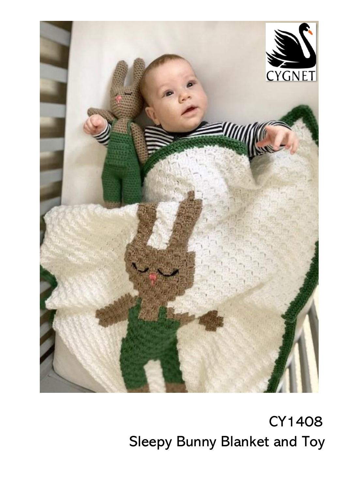

 CY1408 Sleepy Bunny Blanket and Toy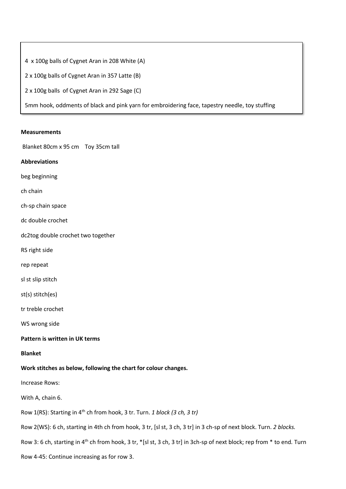4 x 100g balls of Cygnet Aran in 208 White (A)

2 x 100g balls of Cygnet Aran in 357 Latte (B)

2 x 100g balls of Cygnet Aran in 292 Sage (C)

5mm hook, oddments of black and pink yarn for embroidering face, tapestry needle, toy stuffing

 $\overline{a}$ 

## **Measurements**

Blanket 80cm x 95 cm Toy 35cm tall

**Abbreviations**

beg beginning

ch chain

ch-sp chain space

dc double crochet

dc2tog double crochet two together

RS right side

rep repeat

sl st slip stitch

st(s) stitch(es)

tr treble crochet

WS wrong side

## **Pattern is written in UK terms**

# **Blanket**

## **Work stitches as below, following the chart for colour changes.**

Increase Rows:

With A, chain 6.

Row 1(RS): Starting in 4<sup>th</sup> ch from hook, 3 tr. Turn. 1 block (3 ch, 3 tr)

Row 2(WS): 6 ch, starting in 4th ch from hook, 3 tr, [sl st, 3 ch, 3 tr] in 3 ch-sp of next block. Turn. *2 blocks.*

Row 3: 6 ch, starting in 4th ch from hook, 3 tr, \*[sl st, 3 ch, 3 tr] in 3ch-sp of next block; rep from \* to end*.* Turn

Row 4-45: Continue increasing as for row 3.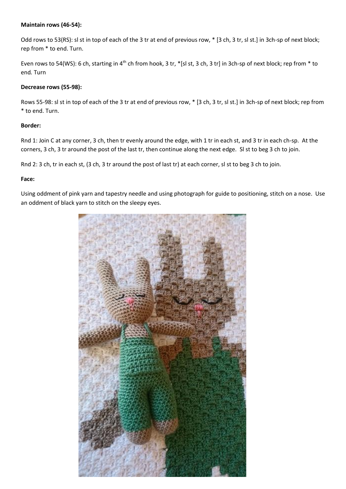# **Maintain rows (46-54):**

Odd rows to 53(RS): sl st in top of each of the 3 tr at end of previous row, \* [3 ch, 3 tr, sl st.] in 3ch-sp of next block; rep from \* to end. Turn.

Even rows to 54(WS): 6 ch, starting in 4<sup>th</sup> ch from hook, 3 tr, \*[sl st, 3 ch, 3 tr] in 3ch-sp of next block; rep from \* to end*.* Turn

# **Decrease rows (55-98):**

Rows 55-98: sl st in top of each of the 3 tr at end of previous row, \* [3 ch, 3 tr, sl st.] in 3ch-sp of next block; rep from \* to end. Turn.

# **Border:**

Rnd 1: Join C at any corner, 3 ch, then tr evenly around the edge, with 1 tr in each st, and 3 tr in each ch-sp. At the corners, 3 ch, 3 tr around the post of the last tr, then continue along the next edge. Sl st to beg 3 ch to join.

Rnd 2: 3 ch, tr in each st, (3 ch, 3 tr around the post of last tr) at each corner, sl st to beg 3 ch to join.

# **Face:**

Using oddment of pink yarn and tapestry needle and using photograph for guide to positioning, stitch on a nose. Use an oddment of black yarn to stitch on the sleepy eyes.

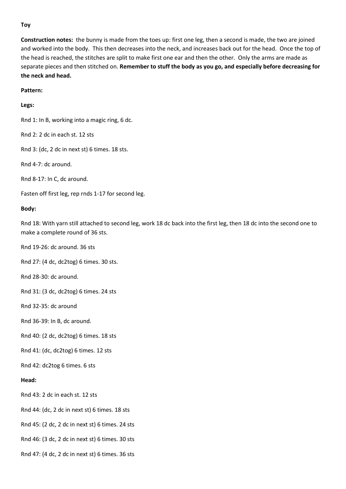## **Toy**

**Construction notes:** the bunny is made from the toes up: first one leg, then a second is made, the two are joined and worked into the body. This then decreases into the neck, and increases back out for the head. Once the top of the head is reached, the stitches are split to make first one ear and then the other. Only the arms are made as separate pieces and then stitched on. **Remember to stuff the body as you go, and especially before decreasing for the neck and head.**

### **Pattern:**

## **Legs:**

Rnd 1: In B, working into a magic ring, 6 dc.

Rnd 2: 2 dc in each st. 12 sts

Rnd 3: (dc, 2 dc in next st) 6 times. 18 sts.

Rnd 4-7: dc around.

Rnd 8-17: In C, dc around.

Fasten off first leg, rep rnds 1-17 for second leg.

## **Body:**

Rnd 18: With yarn still attached to second leg, work 18 dc back into the first leg, then 18 dc into the second one to make a complete round of 36 sts.

Rnd 19-26: dc around. 36 sts

Rnd 27: (4 dc, dc2tog) 6 times. 30 sts.

Rnd 28-30: dc around.

Rnd 31: (3 dc, dc2tog) 6 times. 24 sts

Rnd 32-35: dc around

Rnd 36-39: In B, dc around.

Rnd 40: (2 dc, dc2tog) 6 times. 18 sts

Rnd 41: (dc, dc2tog) 6 times. 12 sts

Rnd 42: dc2tog 6 times. 6 sts

**Head:**

Rnd 43: 2 dc in each st. 12 sts

Rnd 44: (dc, 2 dc in next st) 6 times. 18 sts

Rnd 45: (2 dc, 2 dc in next st) 6 times. 24 sts

Rnd 46: (3 dc, 2 dc in next st) 6 times. 30 sts

Rnd 47: (4 dc, 2 dc in next st) 6 times. 36 sts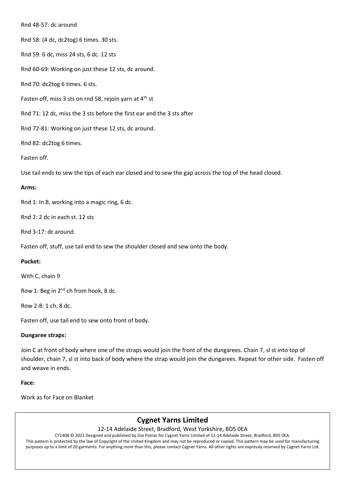#### Rnd 48-57: dc around

Rnd 58: (4 dc, dc2tog) 6 times. 30 sts.

Rnd 59: 6 dc, miss 24 sts, 6 dc. 12 sts

Rnd 60-69: Working on just these 12 sts, dc around.

Rnd 70: dc2tog 6 times. 6 sts.

Fasten off, miss 3 sts on rnd 58, rejoin yarn at 4<sup>th</sup> st

Rnd 71: 12 dc, miss the 3 sts before the first ear and the 3 sts after

Rnd 72-81: Working on just these 12 sts, dc around.

Rnd 82: dc2tog 6 times.

Fasten off.

Use tail ends to sew the tips of each ear closed and to sew the gap across the top of the head closed.

#### **Arms:**

Rnd 1: In B, working into a magic ring, 6 dc.

Rnd 2: 2 dc in each st. 12 sts

Rnd 3-17: dc around.

Fasten off, stuff, use tail end to sew the shoulder closed and sew onto the body.

#### **Pocket:**

With C, chain 9

Row 1: Beg in 2<sup>nd</sup> ch from hook, 8 dc.

Row 2-8: 1 ch, 8 dc.

Fasten off, use tail end to sew onto front of body.

#### **Dungaree straps:**

Join C at front of body where one of the straps would join the front of the dungarees. Chain 7, sl st into top of shoulder, chain 7, sl st into back of body where the strap would join the dungarees. Repeat for other side. Fasten off and weave in ends.

#### **Face:**

Work as for Face on Blanket

# **Cygnet Yarns Limited**

## 12-14 Adelaide Street, Bradford, West Yorkshire, BD5 0EA

CY1408 © 2021 Designed and published by Zoe Potrac for Cygnet Yarns Limited of 12-14 Adelaide Street, Bradford, BD5 0EA. This pattern is protected by the law of Copyright of the United Kingdom and may not be reproduced or copied. This pattern may be used for manufacturing purposes up to a limit of 20 garments. For anything more than this, please contact Cygnet Yarns. All other rights are expressly reserved by Cygnet Yarns Ltd.